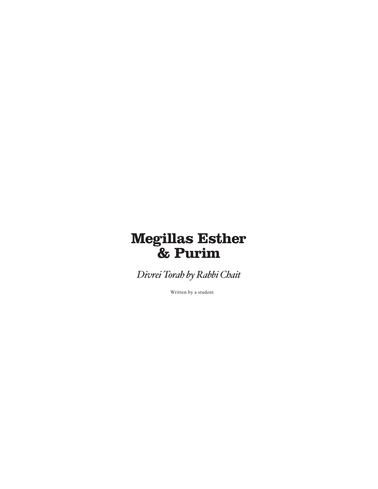# **Megillas Esther & Purim**

*Divrei Torah by Rabbi Chait*

Written by a student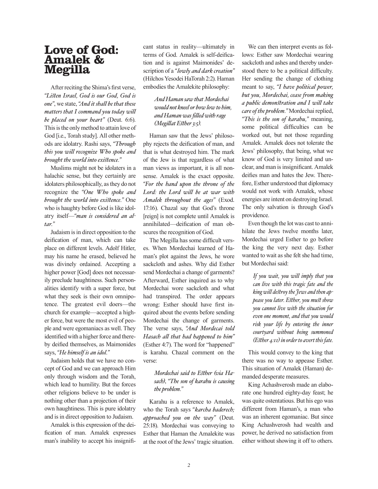## **Love of God: Amalek & Megilla**

After reciting the Shima's first verse, *"Listen Israel, God is our God, God is one"*, we state, *"And it shall be that these matters that I command you today will be placed on your heart"* (Deut. 6:6). This is the only method to attain love of God [i.e., Torah study]. All other methods are idolatry. Rashi says, *"Through this you will recognize Who spoke and brought the world into existence."*

Muslims might not be idolaters in a halachic sense, but they certainly are idolaters philosophically, as they do not recognize the *"One Who spoke and brought the world into existence."* One who is haughty before God is like idolatry itself—*"man is considered an altar."* 

Judaism is in direct opposition to the deification of man, which can take place on different levels. Adolf Hitler, may his name he erased, believed he was divinely ordained. Accepting a higher power [God] does not necessarily preclude haughtiness. Such personalities identify with a super force, but what they seek is their own omnipotence. The greatest evil doers—the church for example—accepted a higher force, but were the most evil of people and were egomaniacs as well. They identified with a higher force and thereby deified themselves, as Maimonides says, *"He himself is an idol."*

Judaism holds that we have no concept of God and we can approach Him only through wisdom and the Torah, which lead to humility. But the forces other religions believe to be under is nothing other than a projection of their own haughtiness. This is pure idolatry and is in direct opposition to Judaism.

Amalek is this expression of the deification of man. Amalek expresses man's inability to accept his insignificant status in reality—ultimately in terms of God. Amalek is self-deification and is against Maimonides' description of a *" lowly and dark creation"* (Hilchos Yesodei HaTorah 2:2). Haman embodies the Amalekite philosophy:

### *And Haman saw that Mordechai would not kneel or bow low to him, and Haman was filled with rage (Megillat Esther 3:5).*

Haman saw that the Jews' philosophy rejects the deification of man, and that is what destroyed him. The mark of the Jew is that regardless of what man views as important, it is all nonsense. Amalek is the exact opposite. *"For the hand upon the throne of the Lord: the Lord will be at war with Amalek throughout the ages"* (Exod. 17:16). Chazal say that God's throne [reign] is not complete until Amalek is annihilated—deification of man obscures the recognition of God.

The Megilla has some difficult verses. When Mordechai learned of Haman's plot against the Jews, he wore sackcloth and ashes. Why did Esther send Mordechai a change of garments? Afterward, Esther inquired as to why Mordechai wore sackcloth and what had transpired. The order appears wrong: Esther should have first inquired about the events before sending Mordechai the change of garments. The verse says, *"And Mordecai told Hasach all that had happened to him"*  (Esther 4:7). The word for "happened" is karahu. Chazal comment on the verse:

### *Mordechai said to Esther (via Hasach)*, *"The son of karahu is causing the problem."*

Karahu is a reference to Amalek, who the Torah says *" karcha baderech; approached you on the way"* (Deut. 25:18). Mordechai was conveying to Esther that Haman the Amalekite was at the root of the Jews' tragic situation.

We can then interpret events as follows: Esther saw Mordechai wearing sackcloth and ashes and thereby understood there to be a political difficulty. Her sending the change of clothing meant to say, *"I have political power, but you, Mordechai, cease from making a public demonstration and I will take care of the problem."* Mordechai replied, *"This is the son of karahu,"* meaning, some political difficulties can be worked out, but not those regarding Amalek. Amalek does not tolerate the Jews' philosophy, that being, what we know of God is very limited and unclear, and man is insignificant. Amalek deifies man and hates the Jew. Therefore, Esther understood that diplomacy would not work with Amalek, whose energies are intent on destroying Israel. The only salvation is through God's providence.

Even though the lot was cast to annihilate the Jews twelve months later, Mordechai urged Esther to go before the king the very next day. Esther wanted to wait as she felt she had time, but Mordechai said:

> *If you wait, you will imply that you can live with this tragic fate and the king will destroy the Jews and then appease you later. Esther, you must show you cannot live with the situation for even one moment, and that you would risk your life by entering the inner courtyard without being summoned (Esther 4:11) in order to avert this fate.*

This would convey to the king that there was no way to appease Esther. This situation of Amalek (Haman) demanded desperate measures.

King Achashverosh made an elaborate one hundred eighty-day feast; he was quite ostentatious. But his ego was different from Haman's, a man who was an inherent egomaniac. But since King Achashverosh had wealth and power, he derived no satisfaction from either without showing it off to others.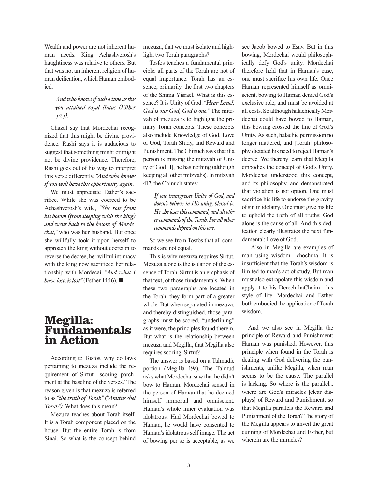Wealth and power are not inherent human needs. King Achashverosh's haughtiness was relative to others. But that was not an inherent religion of human deification, which Haman embodied.

### *And who knows if such a time as this you attained royal status (Esther 4:14).*

Chazal say that Mordechai recognized that this might be divine providence. Rashi says it is audacious to suggest that something might or might not be divine providence. Therefore, Rashi goes out of his way to interpret this verse differently, *"And who knows if you will have this opportunity again."*

We must appreciate Esther's sacrifice. While she was coerced to be Achashverosh's wife, *"She rose from his bosom (from sleeping with the king) and went back to the bosom of Mordechai,"* who was her husband. But once she willfully took it upon herself to approach the king without coercion to reverse the decree, her willful intimacy with the king now sacrificed her relationship with Mordecai, *"And what I have lost, is lost"* (Esther 14:16).

## **Megilla: Fundamentals in Action**

According to Tosfos, why do laws pertaining to mezuza include the requirement of Sirtut—scoring parchment at the baseline of the verses? The reason given is that mezuza is referred to as *"the truth of Torah" ("Amitus shel Torah").* What does this mean?

Mezuza teaches about Torah itself. It is a Torah component placed on the house. But the entire Torah is from Sinai. So what is the concept behind

mezuza, that we must isolate and highlight two Torah paragraphs?

Tosfos teaches a fundamental principle: all parts of the Torah are not of equal importance. Torah has an essence, primarily, the first two chapters of the Shima Yisrael. What is this essence? It is Unity of God. *"Hear Israel; God is our God, God is one."* The mitzvah of mezuza is to highlight the primary Torah concepts. These concepts also include Knowledge of God, Love of God, Torah Study, and Reward and Punishment. The Chinuch says that if a person is missing the mitzvah of Unity of God [1], he has nothing (although keeping all other mitzvahs). In mitzvah 417, the Chinuch states:

> *If one transgresses Unity of God, and doesn't believe in His unity, blessed be He...he loses this command, and all other commands of the Torah. For all other commands depend on this one.*

So we see from Tosfos that all commands are not equal.

This is why mezuza requires Sirtut. Mezuza alone is the isolation of the essence of Torah. Sirtut is an emphasis of that text, of those fundamentals. When these two paragraphs are located in the Torah, they form part of a greater whole. But when separated in mezuza, and thereby distinguished, those paragraphs must be scored, "underlining" as it were, the principles found therein. But what is the relationship between mezuza and Megilla, that Megilla also requires scoring, Sirtut?

The answer is based on a Talmudic portion (Megilla 19a). The Talmud asks what Mordechai saw that he didn't bow to Haman. Mordechai sensed in the person of Haman that he deemed himself immortal and omniscient. Haman's whole inner evaluation was idolatrous. Had Mordechai bowed to Haman, he would have consented to Haman's idolatrous self image. The act of bowing per se is acceptable, as we

see Jacob bowed to Esav. But in this bowing, Mordechai would philosophically defy God's unity. Mordechai therefore held that in Haman's case, one must sacrifice his own life. Once Haman represented himself as omniscient, bowing to Haman denied God's exclusive role, and must be avoided at all costs. So although halachically Mordechai could have bowed to Haman, this bowing crossed the line of God's Unity. As such, halachic permission no longer mattered, and [Torah] philosophy dictated his need to reject Haman's decree. We thereby learn that Megilla embodies the concept of God's Unity. Mordechai understood this concept, and its philosophy, and demonstrated that violation is not option. One must sacrifice his life to endorse the gravity of sin in idolatry. One must give his life to uphold the truth of all truths: God alone is the cause of all. And this dedication clearly illustrates the next fundamental: Love of God.

 Also in Megilla are examples of man using wisdom—chochma. It is insufficient that the Torah's wisdom is limited to man's act of study. But man must also extrapolate this wisdom and apply it to his Derech haChaim—his style of life. Mordechai and Esther both embodied the application of Torah wisdom.

And we also see in Megilla the principle of Reward and Punishment: Haman was punished. However, this principle when found in the Torah is dealing with God delivering the punishments, unlike Megilla, when man seems to be the cause. The parallel is lacking. So where is the parallel... where are God's miracles [clear displays] of Reward and Punishment, so that Megilla parallels the Reward and Punishment of the Torah? The story of the Megilla appears to unveil the great cunning of Mordechai and Esther, but wherein are the miracles?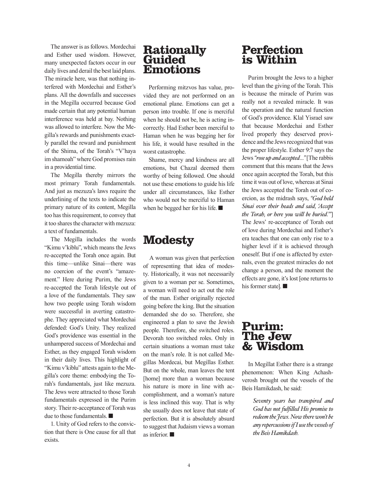The answer is as follows. Mordechai and Esther used wisdom. However, many unexpected factors occur in our daily lives and derail the best laid plans. The miracle here, was that nothing interfered with Mordechai and Esther's plans. All the downfalls and successes in the Megilla occurred because God made certain that any potential human interference was held at bay. Nothing was allowed to interfere. Now the Megilla's rewards and punishments exactly parallel the reward and punishment of the Shima, of the Torah's "V'haya im shamoah" where God promises rain in a providential time.

The Megilla thereby mirrors the most primary Torah fundamentals. And just as mezuza's laws require the underlining of the texts to indicate the primary nature of its content, Megilla too has this requirement, to convey that it too shares the character with mezuza: a text of fundamentals.

The Megilla includes the words "Kimu v'kiblu", which means the Jews re-accepted the Torah once again. But this time—unlike Sinai—there was no coercion of the event's "amazement." Here during Purim, the Jews re-accepted the Torah lifestyle out of a love of the fundamentals. They saw how two people using Torah wisdom were successful in averting catastrophe. They appreciated what Mordechai defended: God's Unity. They realized God's providence was essential in the unhampered success of Mordechai and Esther, as they engaged Torah wisdom in their daily lives. This highlight of "Kimu v'kiblu" attests again to the Megilla's core theme: embodying the Torah's fundamentals, just like mezuza. The Jews were attracted to those Torah fundamentals expressed in the Purim story. Their re-acceptance of Torah was due to those fundamentals.  $\blacksquare$ 

1. Unity of God refers to the conviction that there is One cause for all that exists.

### **Rationally Guided Emotions**

Performing mitzvos has value, provided they are not performed on an emotional plane. Emotions can get a person into trouble. If one is merciful when he should not be, he is acting incorrectly. Had Esther been merciful to Haman when he was begging her for his life, it would have resulted in the worst catastrophe.

Shame, mercy and kindness are all emotions, but Chazal deemed them worthy of being followed. One should not use these emotions to guide his life under all circumstances, like Esther who would not be merciful to Haman when he begged her for his life.  $\blacksquare$ 

## **Modesty**

A woman was given that perfection of representing that idea of modesty. Historically, it was not necessarily given to a woman per se. Sometimes, a woman will need to act out the role of the man. Esther originally rejected going before the king. But the situation demanded she do so. Therefore, she engineered a plan to save the Jewish people. Therefore, she switched roles. Devorah too switched roles. Only in certain situations a woman must take on the man's role. It is not called Megillas Mordecai, but Megillas Esther. But on the whole, man leaves the tent [home] more than a woman because his nature is more in line with accomplishment, and a woman's nature is less inclined this way. That is why she usually does not leave that state of perfection. But it is absolutely absurd to suggest that Judaism views a woman as inferior.  $\blacksquare$ 

## **Perfection is Within**

Purim brought the Jews to a higher level than the giving of the Torah. This is because the miracle of Purim was really not a revealed miracle. It was the operation and the natural function of God's providence. Klal Yisrael saw that because Mordechai and Esther lived properly they deserved providence and the Jews recognized that was the proper lifestyle. Esther 9:7 says the Jews *"rose up and accepted…"* [The rabbis comment that this means that the Jews once again accepted the Torah, but this time it was out of love, whereas at Sinai the Jews accepted the Torah out of coercion, as the midrash says, *"God held Sinai over their heads and said, 'Accept the Torah, or here you will be buried.'"*] The Jews' re-acceptance of Torah out of love during Mordechai and Esther's era teaches that one can only rise to a higher level if it is achieved through oneself. But if one is affected by externals, even the greatest miracles do not change a person, and the moment the effects are gone, it's lost [one returns to his former state].  $\blacksquare$ 

## **Purim: The Jew & Wisdom**

In Megillat Esther there is a strange phenomenon: When King Achashverosh brought out the vessels of the Beis Hamikdash, he said:

> *Seventy years has transpired and God has not fulfilled His promise to redeem the Jews. Now there won't be any repercussions if I use the vessels of the Beis Hamikdash.*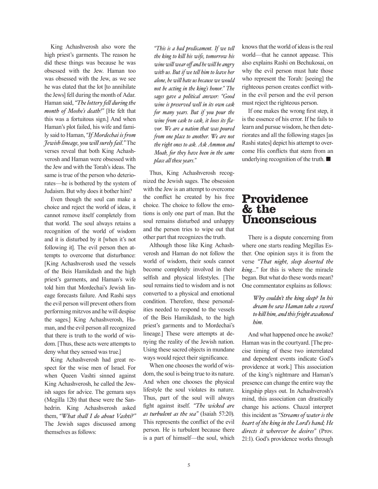King Achashverosh also wore the high priest's garments. The reason he did these things was because he was obsessed with the Jew. Haman too was obsessed with the Jew, as we see he was elated that the lot [to annihilate the Jews] fell during the month of Adar. Haman said, *"The lottery fell during the month of Moshe's death!"* [He felt that this was a fortuitous sign.] And when Haman's plot failed, his wife and family said to Haman, *"If Mordechai is from Jewish lineage, you will surely fail."* The verses reveal that both King Achashverosh and Haman were obsessed with the Jew and with the Torah's ideas. The same is true of the person who deteriorates—he is bothered by the system of Judaism. But why does it bother him?

Even though the soul can make a choice and reject the world of ideas, it cannot remove itself completely from that world. The soul always retains a recognition of the world of wisdom and it is disturbed by it [when it's not following it]. The evil person then attempts to overcome that disturbance: [King Achashverosh used the vessels of the Beis Hamikdash and the high priest's garments, and Haman's wife told him that Mordechai's Jewish lineage forecasts failure. And Rashi says the evil person will prevent others from performing mitzvos and he will despise the sages.] King Achashverosh, Haman, and the evil person all recognized that there is truth to the world of wisdom. [Thus, these acts were attempts to deny what they sensed was true.]

King Achashverosh had great respect for the wise men of Israel. For when Queen Vashti sinned against King Achashverosh, he called the Jewish sages for advice. The gemara says (Megilla 12b) that these were the Sanhedrin. King Achashverosh asked them, *"What shall I do about Vashti?"*  The Jewish sages discussed among themselves as follows:

*"This is a bad predicament. If we tell the king to kill his wife, tomorrow his wine will wear off and he will be angry with us. But if we tell him to leave her alone, he will hate us because we would not be acting in the king's honor." The sages gave a political answer: "Good wine is preserved well in its own cask for many years. But if you pour the wine from cask to cask, it loses its flavor. We are a nation that was poured from one place to another. We are not the right ones to ask. Ask Ammon and Moab, for they have been in the same place all these years."* 

Thus, King Achashverosh recognized the Jewish sages. The obsession with the Jew is an attempt to overcome the conflict he created by his free choice. The choice to follow the emotions is only one part of man. But the soul remains disturbed and unhappy and the person tries to wipe out that other part that recognizes the truth.

Although those like King Achashverosh and Haman do not follow the world of wisdom, their souls cannot become completely involved in their selfish and physical lifestyles. [The soul remains tied to wisdom and is not converted to a physical and emotional condition. Therefore, these personalities needed to respond to the vessels of the Beis Hamikdash, to the high priest's garments and to Mordechai's lineage.] These were attempts at denying the reality of the Jewish nation. Using these sacred objects in mundane ways would reject their significance.

When one chooses the world of wisdom, the soul is being true to its nature. And when one chooses the physical lifestyle the soul violates its nature. Thus, part of the soul will always fight against itself. *"The wicked are as turbulent as the sea"* (Isaiah 57:20). This represents the conflict of the evil person. He is turbulent because there is a part of himself—the soul, which knows that the world of ideas is the real world—that he cannot appease. This also explains Rashi on Bechukosai, on why the evil person must hate those who represent the Torah: [seeing] the righteous person creates conflict within the evil person and the evil person must reject the righteous person.

If one makes the wrong first step, it is the essence of his error. If he fails to learn and pursue wisdom, he then deteriorates and all the following stages [as Rashi states] depict his attempt to overcome His conflicts that stem from an underlying recognition of the truth.  $\blacksquare$ 

## **Providence & the Unconscious**

There is a dispute concerning from where one starts reading Megillas Esther. One opinion says it is from the verse *"That night, sleep deserted the king…"* for this is where the miracle began. But what do these words mean? One commentator explains as follows:

#### *Why couldn't the king sleep? In his dream he saw Haman take a sword to kill him, and this fright awakened him.*

And what happened once he awoke? Haman was in the courtyard. [The precise timing of these two interrelated and dependent events indicate God's providence at work.] This association of the king's nightmare and Haman's presence can change the entire way the kingship plays out. In Achashverosh's mind, this association can drastically change his actions. Chazal interpret this incident as *"Streams of water is the heart of the king in the Lord's hand; He directs it wherever he desires"* (Prov. 21:1). God's providence works through